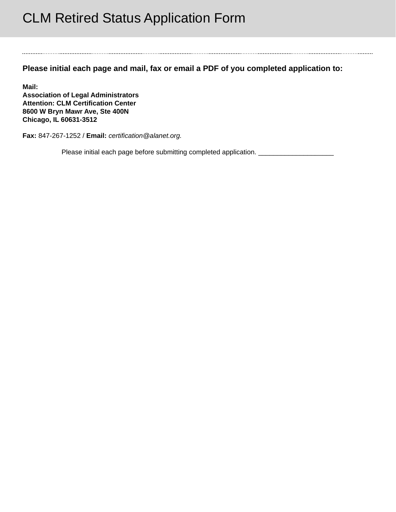## CLM Retired Status Application Form

**Please initial each page and mail, fax or email a PDF of you completed application to:** 

**Mail: Association of Legal Administrators Attention: CLM Certification Center 8600 W Bryn Mawr Ave, Ste 400N Chicago, IL 60631-3512** 

**Fax:** 847-267-1252 / **Email:** *certification@alanet.org.*

Please initial each page before submitting completed application. \_\_\_\_\_\_\_\_\_\_\_\_\_\_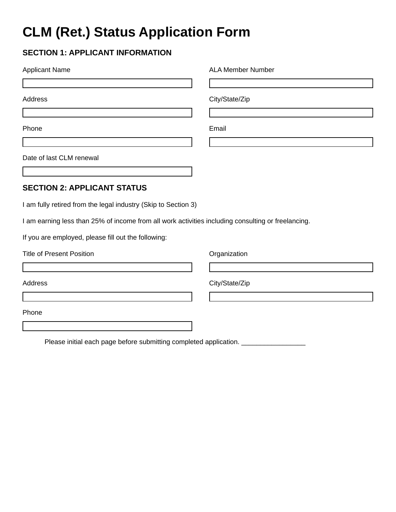## **CLM (Ret.) Status Application Form**

## **SECTION 1: APPLICANT INFORMATION**

| <b>Applicant Name</b>                                                                              | <b>ALA Member Number</b> |
|----------------------------------------------------------------------------------------------------|--------------------------|
|                                                                                                    |                          |
| <b>Address</b>                                                                                     | City/State/Zip           |
|                                                                                                    |                          |
| Phone                                                                                              | Email                    |
|                                                                                                    |                          |
| Date of last CLM renewal                                                                           |                          |
|                                                                                                    |                          |
| <b>SECTION 2: APPLICANT STATUS</b>                                                                 |                          |
| I am fully retired from the legal industry (Skip to Section 3)                                     |                          |
| I am earning less than 25% of income from all work activities including consulting or freelancing. |                          |
| If you are employed, please fill out the following:                                                |                          |
| <b>Title of Present Position</b>                                                                   | Organization             |
|                                                                                                    |                          |
| <b>Address</b>                                                                                     | City/State/Zip           |
|                                                                                                    |                          |
| Phone                                                                                              |                          |
|                                                                                                    |                          |

Please initial each page before submitting completed application. \_\_\_\_\_\_\_\_\_\_\_\_\_\_